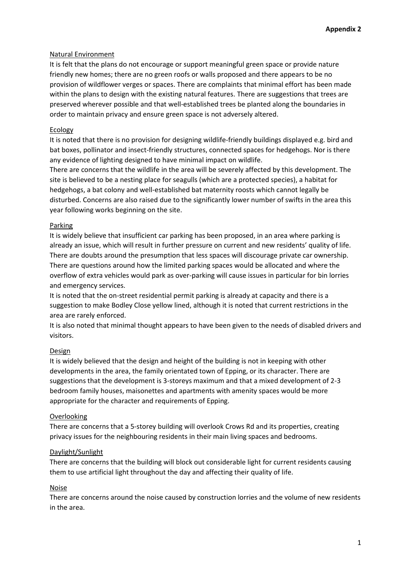## Natural Environment

It is felt that the plans do not encourage or support meaningful green space or provide nature friendly new homes; there are no green roofs or walls proposed and there appears to be no provision of wildflower verges or spaces. There are complaints that minimal effort has been made within the plans to design with the existing natural features. There are suggestions that trees are preserved wherever possible and that well-established trees be planted along the boundaries in order to maintain privacy and ensure green space is not adversely altered.

## Ecology

It is noted that there is no provision for designing wildlife-friendly buildings displayed e.g. bird and bat boxes, pollinator and insect-friendly structures, connected spaces for hedgehogs. Nor is there any evidence of lighting designed to have minimal impact on wildlife.

There are concerns that the wildlife in the area will be severely affected by this development. The site is believed to be a nesting place for seagulls (which are a protected species), a habitat for hedgehogs, a bat colony and well-established bat maternity roosts which cannot legally be disturbed. Concerns are also raised due to the significantly lower number of swifts in the area this year following works beginning on the site.

# Parking

It is widely believe that insufficient car parking has been proposed, in an area where parking is already an issue, which will result in further pressure on current and new residents' quality of life. There are doubts around the presumption that less spaces will discourage private car ownership. There are questions around how the limited parking spaces would be allocated and where the overflow of extra vehicles would park as over-parking will cause issues in particular for bin lorries and emergency services.

It is noted that the on-street residential permit parking is already at capacity and there is a suggestion to make Bodley Close yellow lined, although it is noted that current restrictions in the area are rarely enforced.

It is also noted that minimal thought appears to have been given to the needs of disabled drivers and visitors.

# Design

It is widely believed that the design and height of the building is not in keeping with other developments in the area, the family orientated town of Epping, or its character. There are suggestions that the development is 3-storeys maximum and that a mixed development of 2-3 bedroom family houses, maisonettes and apartments with amenity spaces would be more appropriate for the character and requirements of Epping.

# Overlooking

There are concerns that a 5-storey building will overlook Crows Rd and its properties, creating privacy issues for the neighbouring residents in their main living spaces and bedrooms.

### Daylight/Sunlight

There are concerns that the building will block out considerable light for current residents causing them to use artificial light throughout the day and affecting their quality of life.

### Noise

There are concerns around the noise caused by construction lorries and the volume of new residents in the area.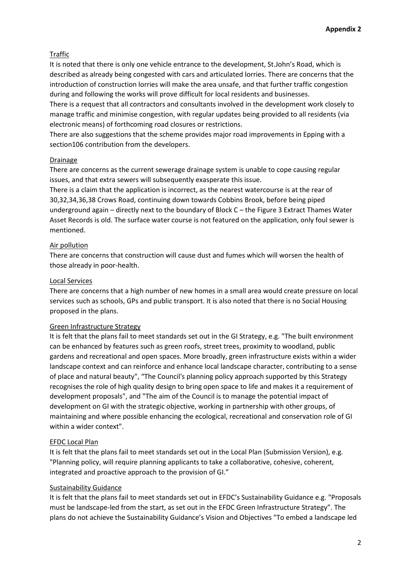# Traffic

It is noted that there is only one vehicle entrance to the development, St.John's Road, which is described as already being congested with cars and articulated lorries. There are concerns that the introduction of construction lorries will make the area unsafe, and that further traffic congestion during and following the works will prove difficult for local residents and businesses.

There is a request that all contractors and consultants involved in the development work closely to manage traffic and minimise congestion, with regular updates being provided to all residents (via electronic means) of forthcoming road closures or restrictions.

There are also suggestions that the scheme provides major road improvements in Epping with a section106 contribution from the developers.

### Drainage

There are concerns as the current sewerage drainage system is unable to cope causing regular issues, and that extra sewers will subsequently exasperate this issue.

There is a claim that the application is incorrect, as the nearest watercourse is at the rear of 30,32,34,36,38 Crows Road, continuing down towards Cobbins Brook, before being piped underground again – directly next to the boundary of Block C – the Figure 3 Extract Thames Water Asset Records is old. The surface water course is not featured on the application, only foul sewer is mentioned.

# Air pollution

There are concerns that construction will cause dust and fumes which will worsen the health of those already in poor-health.

### Local Services

There are concerns that a high number of new homes in a small area would create pressure on local services such as schools, GPs and public transport. It is also noted that there is no Social Housing proposed in the plans.

# Green Infrastructure Strategy

It is felt that the plans fail to meet standards set out in the GI Strategy, e.g. "The built environment can be enhanced by features such as green roofs, street trees, proximity to woodland, public gardens and recreational and open spaces. More broadly, green infrastructure exists within a wider landscape context and can reinforce and enhance local landscape character, contributing to a sense of place and natural beauty", "The Council's planning policy approach supported by this Strategy recognises the role of high quality design to bring open space to life and makes it a requirement of development proposals", and "The aim of the Council is to manage the potential impact of development on GI with the strategic objective, working in partnership with other groups, of maintaining and where possible enhancing the ecological, recreational and conservation role of GI within a wider context".

# EFDC Local Plan

It is felt that the plans fail to meet standards set out in the Local Plan (Submission Version), e.g. "Planning policy, will require planning applicants to take a collaborative, cohesive, coherent, integrated and proactive approach to the provision of GI."

# Sustainability Guidance

It is felt that the plans fail to meet standards set out in EFDC's Sustainability Guidance e.g. "Proposals must be landscape-led from the start, as set out in the EFDC Green Infrastructure Strategy". The plans do not achieve the Sustainability Guidance's Vision and Objectives "To embed a landscape led